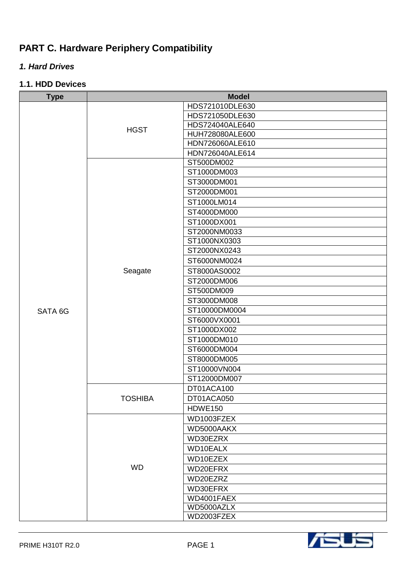# **PART C. Hardware Periphery Compatibility**

# *1. Hard Drives*

## **1.1. HDD Devices**

| <b>Type</b> | <b>Model</b>   |                 |
|-------------|----------------|-----------------|
|             |                | HDS721010DLE630 |
|             |                | HDS721050DLE630 |
|             | <b>HGST</b>    | HDS724040ALE640 |
|             |                | HUH728080ALE600 |
|             |                | HDN726060ALE610 |
|             |                | HDN726040ALE614 |
|             |                | ST500DM002      |
|             |                | ST1000DM003     |
|             |                | ST3000DM001     |
|             |                | ST2000DM001     |
|             |                | ST1000LM014     |
|             |                | ST4000DM000     |
|             |                | ST1000DX001     |
|             |                | ST2000NM0033    |
|             |                | ST1000NX0303    |
|             |                | ST2000NX0243    |
|             |                | ST6000NM0024    |
|             | Seagate        | ST8000AS0002    |
|             |                | ST2000DM006     |
|             |                | ST500DM009      |
|             |                | ST3000DM008     |
| SATA 6G     |                | ST10000DM0004   |
|             |                | ST6000VX0001    |
|             |                | ST1000DX002     |
|             |                | ST1000DM010     |
|             |                | ST6000DM004     |
|             |                | ST8000DM005     |
|             |                | ST10000VN004    |
|             |                | ST12000DM007    |
|             | <b>TOSHIBA</b> | DT01ACA100      |
|             |                | DT01ACA050      |
|             |                | HDWE150         |
|             |                | WD1003FZEX      |
|             |                | WD5000AAKX      |
|             |                | WD30EZRX        |
|             |                | WD10EALX        |
|             |                | WD10EZEX        |
|             | <b>WD</b>      | WD20EFRX        |
|             |                | WD20EZRZ        |
|             |                | WD30EFRX        |
|             |                | WD4001FAEX      |
|             |                | WD5000AZLX      |
|             |                | WD2003FZEX      |

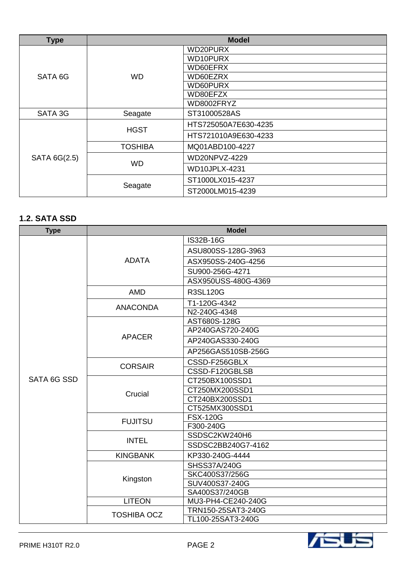| <b>Type</b>  | <b>Model</b>   |                      |
|--------------|----------------|----------------------|
|              |                | WD20PURX             |
|              |                | WD10PURX             |
|              |                | WD60EFRX             |
| SATA 6G      | <b>WD</b>      | WD60EZRX             |
|              |                | WD60PURX             |
|              |                | WD80EFZX             |
|              |                | WD8002FRYZ           |
| SATA 3G      | Seagate        | ST31000528AS         |
|              | <b>HGST</b>    | HTS725050A7E630-4235 |
|              |                | HTS721010A9E630-4233 |
|              | <b>TOSHIBA</b> | MQ01ABD100-4227      |
| SATA 6G(2.5) | <b>WD</b>      | WD20NPVZ-4229        |
|              |                | WD10JPLX-4231        |
|              | Seagate        | ST1000LX015-4237     |
|              |                | ST2000LM015-4239     |

## **1.2. SATA SSD**

| <b>Type</b> | <b>Model</b>       |                     |
|-------------|--------------------|---------------------|
|             |                    | IS32B-16G           |
|             |                    | ASU800SS-128G-3963  |
|             | <b>ADATA</b>       | ASX950SS-240G-4256  |
|             |                    | SU900-256G-4271     |
|             |                    | ASX950USS-480G-4369 |
|             | <b>AMD</b>         | <b>R3SL120G</b>     |
|             | <b>ANACONDA</b>    | T1-120G-4342        |
|             |                    | N2-240G-4348        |
|             |                    | AST680S-128G        |
|             |                    | AP240GAS720-240G    |
|             | <b>APACER</b>      | AP240GAS330-240G    |
|             |                    | AP256GAS510SB-256G  |
|             |                    | CSSD-F256GBLX       |
|             | <b>CORSAIR</b>     | CSSD-F120GBLSB      |
| SATA 6G SSD | Crucial            | CT250BX100SSD1      |
|             |                    | CT250MX200SSD1      |
|             |                    | CT240BX200SSD1      |
|             |                    | CT525MX300SSD1      |
|             | <b>FUJITSU</b>     | <b>FSX-120G</b>     |
|             |                    | F300-240G           |
|             | <b>INTEL</b>       | SSDSC2KW240H6       |
|             |                    | SSDSC2BB240G7-4162  |
|             | <b>KINGBANK</b>    | KP330-240G-4444     |
|             | Kingston           | <b>SHSS37A/240G</b> |
|             |                    | SKC400S37/256G      |
|             |                    | SUV400S37-240G      |
|             |                    | SA400S37/240GB      |
|             | <b>LITEON</b>      | MU3-PH4-CE240-240G  |
|             | <b>TOSHIBA OCZ</b> | TRN150-25SAT3-240G  |
|             |                    | TL100-25SAT3-240G   |

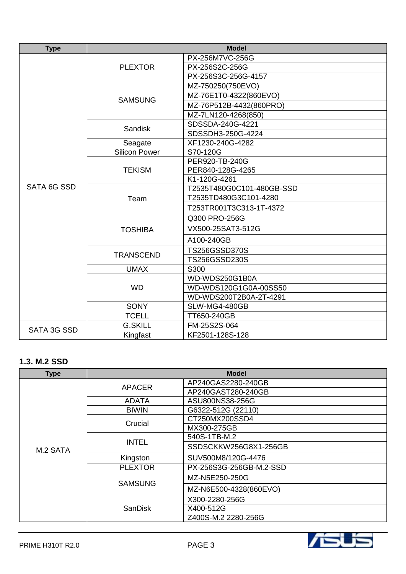| <b>Type</b> | <b>Model</b>         |                           |
|-------------|----------------------|---------------------------|
|             |                      | PX-256M7VC-256G           |
|             | <b>PLEXTOR</b>       | PX-256S2C-256G            |
|             |                      | PX-256S3C-256G-4157       |
|             |                      | MZ-750250(750EVO)         |
|             | <b>SAMSUNG</b>       | MZ-76E1T0-4322(860EVO)    |
|             |                      | MZ-76P512B-4432(860PRO)   |
|             |                      | MZ-7LN120-4268(850)       |
|             | <b>Sandisk</b>       | SDSSDA-240G-4221          |
|             |                      | SDSSDH3-250G-4224         |
|             | Seagate              | XF1230-240G-4282          |
|             | <b>Silicon Power</b> | S70-120G                  |
|             |                      | PER920-TB-240G            |
|             | <b>TEKISM</b>        | PER840-128G-4265          |
|             |                      | K1-120G-4261              |
| SATA 6G SSD |                      | T2535T480G0C101-480GB-SSD |
|             | Team                 | T2535TD480G3C101-4280     |
|             |                      | T253TR001T3C313-1T-4372   |
|             | <b>TOSHIBA</b>       | Q300 PRO-256G             |
|             |                      | VX500-25SAT3-512G         |
|             |                      | A100-240GB                |
|             | <b>TRANSCEND</b>     | <b>TS256GSSD370S</b>      |
|             |                      | TS256GSSD230S             |
|             | <b>UMAX</b>          | S300                      |
|             |                      | WD-WDS250G1B0A            |
|             | <b>WD</b>            | WD-WDS120G1G0A-00SS50     |
|             |                      | WD-WDS200T2B0A-2T-4291    |
|             | SONY                 | SLW-MG4-480GB             |
|             | <b>TCELL</b>         | TT650-240GB               |
|             | <b>G.SKILL</b>       | FM-25S2S-064              |
| SATA 3G SSD | Kingfast             | KF2501-128S-128           |

### **1.3. M.2 SSD**

| <b>Type</b> | <b>Model</b>   |                         |
|-------------|----------------|-------------------------|
|             | APACER         | AP240GAS2280-240GB      |
|             |                | AP240GAST280-240GB      |
|             | <b>ADATA</b>   | ASU800NS38-256G         |
|             | <b>BIWIN</b>   | G6322-512G (22110)      |
|             | Crucial        | CT250MX200SSD4          |
|             |                | MX300-275GB             |
|             | <b>INTEL</b>   | 540S-1TB-M.2            |
| M.2 SATA    |                | SSDSCKKW256G8X1-256GB   |
|             | Kingston       | SUV500M8/120G-4476      |
|             | <b>PLEXTOR</b> | PX-256S3G-256GB-M.2-SSD |
|             | <b>SAMSUNG</b> | MZ-N5E250-250G          |
|             |                | MZ-N6E500-4328(860EVO)  |
|             | SanDisk        | X300-2280-256G          |
|             |                | X400-512G               |
|             |                | Z400S-M.2 2280-256G     |

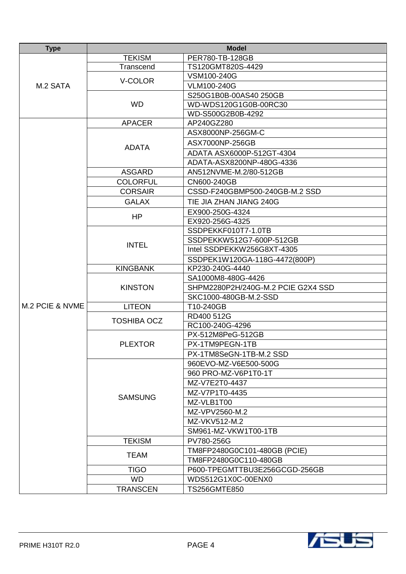| <b>Type</b>     | <b>Model</b>       |                                    |
|-----------------|--------------------|------------------------------------|
|                 | <b>TEKISM</b>      | PER780-TB-128GB                    |
|                 | Transcend          | TS120GMT820S-4429                  |
|                 | V-COLOR            | VSM100-240G                        |
| M.2 SATA        |                    | VLM100-240G                        |
|                 |                    | S250G1B0B-00AS40 250GB             |
|                 | <b>WD</b>          | WD-WDS120G1G0B-00RC30              |
|                 |                    | WD-S500G2B0B-4292                  |
|                 | <b>APACER</b>      | AP240GZ280                         |
|                 |                    | ASX8000NP-256GM-C                  |
|                 | <b>ADATA</b>       | ASX7000NP-256GB                    |
|                 |                    | ADATA ASX6000P-512GT-4304          |
|                 |                    | ADATA-ASX8200NP-480G-4336          |
|                 | <b>ASGARD</b>      | AN512NVME-M.2/80-512GB             |
|                 | <b>COLORFUL</b>    | CN600-240GB                        |
|                 | <b>CORSAIR</b>     | CSSD-F240GBMP500-240GB-M.2 SSD     |
|                 | <b>GALAX</b>       | TIE JIA ZHAN JIANG 240G            |
|                 |                    | EX900-250G-4324                    |
|                 | HP                 | EX920-256G-4325                    |
|                 |                    | SSDPEKKF010T7-1.0TB                |
|                 | <b>INTEL</b>       | SSDPEKKW512G7-600P-512GB           |
|                 |                    | Intel SSDPEKKW256G8XT-4305         |
|                 |                    | SSDPEK1W120GA-118G-4472(800P)      |
|                 | <b>KINGBANK</b>    | KP230-240G-4440                    |
|                 |                    | SA1000M8-480G-4426                 |
|                 | <b>KINSTON</b>     | SHPM2280P2H/240G-M.2 PCIE G2X4 SSD |
|                 |                    | SKC1000-480GB-M.2-SSD              |
| M.2 PCIE & NVME | <b>LITEON</b>      | T10-240GB                          |
|                 | <b>TOSHIBA OCZ</b> | RD400 512G                         |
|                 |                    | RC100-240G-4296                    |
|                 |                    | PX-512M8PeG-512GB                  |
|                 | <b>PLEXTOR</b>     | PX-1TM9PEGN-1TB                    |
|                 |                    | PX-1TM8SeGN-1TB-M.2 SSD            |
|                 |                    | 960EVO-MZ-V6E500-500G              |
|                 |                    | 960 PRO-MZ-V6P1T0-1T               |
|                 |                    | MZ-V7E2T0-4437                     |
|                 | <b>SAMSUNG</b>     | MZ-V7P1T0-4435                     |
|                 |                    | MZ-VLB1T00                         |
|                 |                    | MZ-VPV2560-M.2                     |
|                 |                    | MZ-VKV512-M.2                      |
|                 |                    | SM961-MZ-VKW1T00-1TB               |
|                 | <b>TEKISM</b>      | PV780-256G                         |
|                 | <b>TEAM</b>        | TM8FP2480G0C101-480GB (PCIE)       |
|                 |                    | TM8FP2480G0C110-480GB              |
|                 | <b>TIGO</b>        | P600-TPEGMTTBU3E256GCGD-256GB      |
|                 | <b>WD</b>          | WDS512G1X0C-00ENX0                 |
|                 | <b>TRANSCEN</b>    | <b>TS256GMTE850</b>                |

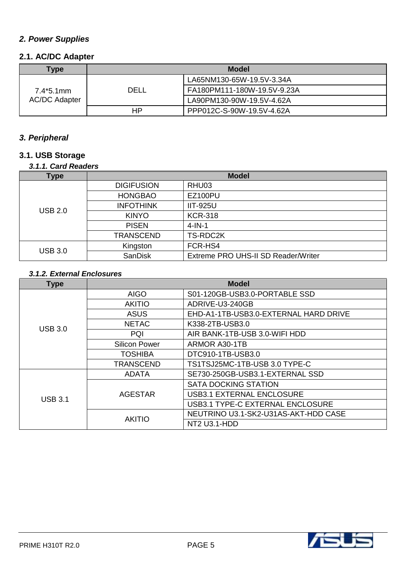# *2. Power Supplies*

## **2.1. AC/DC Adapter**

| Type                                               | <b>Model</b> |                             |
|----------------------------------------------------|--------------|-----------------------------|
| DELL<br>$7.4*5.1$ mm<br><b>AC/DC Adapter</b><br>HР |              | LA65NM130-65W-19.5V-3.34A   |
|                                                    |              | FA180PM111-180W-19.5V-9.23A |
|                                                    |              | LA90PM130-90W-19.5V-4.62A   |
|                                                    |              | PPP012C-S-90W-19.5V-4.62A   |

## *3. Peripheral*

# **3.1. USB Storage**

## *3.1.1. Card Readers*

| <b>Type</b>    | <b>Model</b>      |                                     |
|----------------|-------------------|-------------------------------------|
|                | <b>DIGIFUSION</b> | RHU03                               |
|                | <b>HONGBAO</b>    | <b>EZ100PU</b>                      |
| <b>USB 2.0</b> | <b>INFOTHINK</b>  | <b>IIT-925U</b>                     |
|                | <b>KINYO</b>      | <b>KCR-318</b>                      |
|                | <b>PISEN</b>      | $4$ -IN-1                           |
|                | <b>TRANSCEND</b>  | TS-RDC2K                            |
| <b>USB 3.0</b> | Kingston          | FCR-HS4                             |
|                | <b>SanDisk</b>    | Extreme PRO UHS-II SD Reader/Writer |

## *3.1.2. External Enclosures*

| Type           | <b>Model</b>         |                                       |
|----------------|----------------------|---------------------------------------|
|                | <b>AIGO</b>          | S01-120GB-USB3.0-PORTABLE SSD         |
|                | <b>AKITIO</b>        | ADRIVE-U3-240GB                       |
|                | ASUS                 | EHD-A1-1TB-USB3.0-EXTERNAL HARD DRIVE |
| <b>USB 3.0</b> | <b>NETAC</b>         | K338-2TB-USB3.0                       |
|                | PQI                  | AIR BANK-1TB-USB 3.0-WIFI HDD         |
|                | <b>Silicon Power</b> | ARMOR A30-1TB                         |
|                | <b>TOSHIBA</b>       | DTC910-1TB-USB3.0                     |
|                | <b>TRANSCEND</b>     | TS1TSJ25MC-1TB-USB 3.0 TYPE-C         |
|                | <b>ADATA</b>         | SE730-250GB-USB3.1-EXTERNAL SSD       |
| <b>USB 3.1</b> |                      | <b>SATA DOCKING STATION</b>           |
|                | <b>AGESTAR</b>       | <b>USB3.1 EXTERNAL ENCLOSURE</b>      |
|                |                      | USB3.1 TYPE-C EXTERNAL ENCLOSURE      |
|                | <b>AKITIO</b>        | NEUTRINO U3.1-SK2-U31AS-AKT-HDD CASE  |
|                |                      | NT2 U3.1-HDD                          |

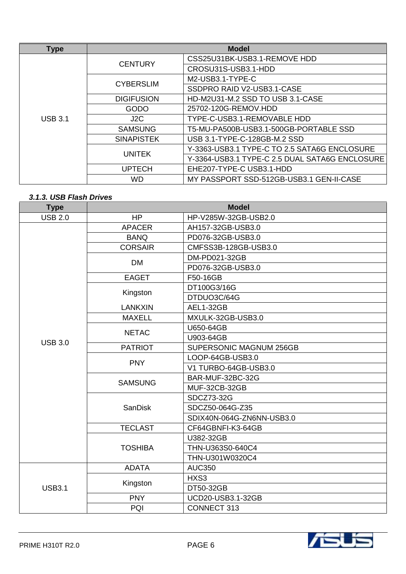| <b>Type</b>    | <b>Model</b>      |                                                |
|----------------|-------------------|------------------------------------------------|
|                | <b>CENTURY</b>    | CSS25U31BK-USB3.1-REMOVE HDD                   |
|                |                   | CROSU31S-USB3.1-HDD                            |
|                |                   | M2-USB3.1-TYPE-C                               |
|                | <b>CYBERSLIM</b>  | SSDPRO RAID V2-USB3.1-CASE                     |
|                | <b>DIGIFUSION</b> | HD-M2U31-M.2 SSD TO USB 3.1-CASE               |
|                | GODO              | 25702-120G-REMOV.HDD                           |
| <b>USB 3.1</b> | J2C               | TYPE-C-USB3.1-REMOVABLE HDD                    |
|                | <b>SAMSUNG</b>    | T5-MU-PA500B-USB3.1-500GB-PORTABLE SSD         |
|                | <b>SINAPISTEK</b> | USB 3.1-TYPE-C-128GB-M.2 SSD                   |
|                | <b>UNITEK</b>     | Y-3363-USB3.1 TYPE-C TO 2.5 SATA6G ENCLOSURE   |
|                |                   | Y-3364-USB3.1 TYPE-C 2.5 DUAL SATA6G ENCLOSURE |
|                | <b>UPTECH</b>     | EHE207-TYPE-C USB3.1-HDD                       |
|                | <b>WD</b>         | MY PASSPORT SSD-512GB-USB3.1 GEN-II-CASE       |

#### *3.1.3. USB Flash Drives*

| <b>Type</b>    | <b>Model</b>   |                           |
|----------------|----------------|---------------------------|
| <b>USB 2.0</b> | HP             | HP-V285W-32GB-USB2.0      |
|                | <b>APACER</b>  | AH157-32GB-USB3.0         |
|                | <b>BANQ</b>    | PD076-32GB-USB3.0         |
|                | <b>CORSAIR</b> | CMFSS3B-128GB-USB3.0      |
|                |                | DM-PD021-32GB             |
|                | <b>DM</b>      | PD076-32GB-USB3.0         |
|                | <b>EAGET</b>   | F50-16GB                  |
|                |                | DT100G3/16G               |
|                | Kingston       | DTDUO3C/64G               |
|                | <b>LANKXIN</b> | AEL1-32GB                 |
|                | <b>MAXELL</b>  | MXULK-32GB-USB3.0         |
|                | <b>NETAC</b>   | U650-64GB                 |
| <b>USB 3.0</b> |                | U903-64GB                 |
|                | <b>PATRIOT</b> | SUPERSONIC MAGNUM 256GB   |
|                |                | LOOP-64GB-USB3.0          |
|                | <b>PNY</b>     | V1 TURBO-64GB-USB3.0      |
|                | <b>SAMSUNG</b> | BAR-MUF-32BC-32G          |
|                |                | <b>MUF-32CB-32GB</b>      |
|                | <b>SanDisk</b> | SDCZ73-32G                |
|                |                | SDCZ50-064G-Z35           |
|                |                | SDIX40N-064G-ZN6NN-USB3.0 |
|                | <b>TECLAST</b> | CF64GBNFI-K3-64GB         |
|                | <b>TOSHIBA</b> | U382-32GB                 |
|                |                | THN-U363S0-640C4          |
|                |                | THN-U301W0320C4           |
|                | <b>ADATA</b>   | <b>AUC350</b>             |
|                | Kingston       | HXS3                      |
| <b>USB3.1</b>  |                | DT50-32GB                 |
|                | <b>PNY</b>     | UCD20-USB3.1-32GB         |
|                | PQI            | <b>CONNECT 313</b>        |

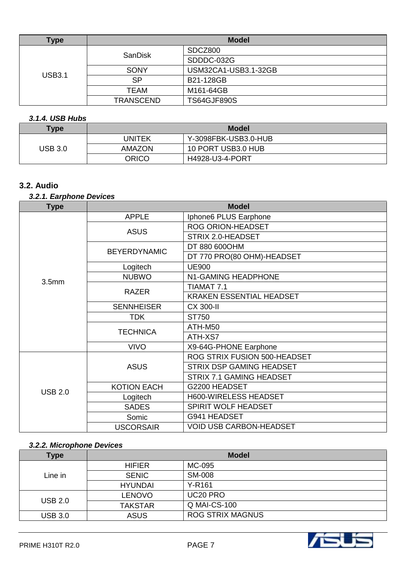| Type          | <b>Model</b>     |                      |
|---------------|------------------|----------------------|
|               | SanDisk          | SDCZ800              |
|               |                  | SDDDC-032G           |
| <b>USB3.1</b> | <b>SONY</b>      | USM32CA1-USB3.1-32GB |
|               | <b>SP</b>        | B21-128GB            |
|               | <b>TEAM</b>      | M161-64GB            |
|               | <b>TRANSCEND</b> | <b>TS64GJF890S</b>   |

## *3.1.4. USB Hubs*

| <b>Type</b> | <b>Model</b>  |                      |
|-------------|---------------|----------------------|
|             | UNITEK        | Y-3098FBK-USB3.0-HUB |
| USB 3.0     | <b>AMAZON</b> | 10 PORT USB3.0 HUB   |
|             | ORICO         | H4928-U3-4-PORT      |

## **3.2. Audio**

## *3.2.1. Earphone Devices*

| <b>Type</b>       |                     | <b>Model</b>                    |
|-------------------|---------------------|---------------------------------|
|                   | <b>APPLE</b>        | Iphone6 PLUS Earphone           |
|                   |                     | <b>ROG ORION-HEADSET</b>        |
|                   | <b>ASUS</b>         | STRIX 2.0-HEADSET               |
|                   | <b>BEYERDYNAMIC</b> | DT 880 600OHM                   |
|                   |                     | DT 770 PRO(80 OHM)-HEADSET      |
|                   | Logitech            | <b>UE900</b>                    |
| 3.5 <sub>mm</sub> | <b>NUBWO</b>        | N1-GAMING HEADPHONE             |
|                   |                     | TIAMAT 7.1                      |
|                   | <b>RAZER</b>        | KRAKEN ESSENTIAL HEADSET        |
|                   | <b>SENNHEISER</b>   | <b>CX 300-II</b>                |
|                   | <b>TDK</b>          | ST750                           |
|                   | <b>TECHNICA</b>     | ATH-M50                         |
|                   |                     | ATH-XS7                         |
|                   | <b>VIVO</b>         | X9-64G-PHONE Earphone           |
|                   | <b>ASUS</b>         | ROG STRIX FUSION 500-HEADSET    |
|                   |                     | <b>STRIX DSP GAMING HEADSET</b> |
|                   |                     | <b>STRIX 7.1 GAMING HEADSET</b> |
| <b>USB 2.0</b>    | <b>KOTION EACH</b>  | G2200 HEADSET                   |
|                   | Logitech            | H600-WIRELESS HEADSET           |
|                   | <b>SADES</b>        | SPIRIT WOLF HEADSET             |
|                   | Somic               | G941 HEADSET                    |
|                   | <b>USCORSAIR</b>    | <b>VOID USB CARBON-HEADSET</b>  |

#### *3.2.2. Microphone Devices*

| Type           | <b>Model</b>   |                         |
|----------------|----------------|-------------------------|
|                | <b>HIFIER</b>  | MC-095                  |
| Line in        | <b>SENIC</b>   | <b>SM-008</b>           |
|                | <b>HYUNDAI</b> | Y-R161                  |
| <b>USB 2.0</b> | <b>LENOVO</b>  | UC20 PRO                |
|                | TAKSTAR        | Q MAI-CS-100            |
| <b>USB 3.0</b> | <b>ASUS</b>    | <b>ROG STRIX MAGNUS</b> |

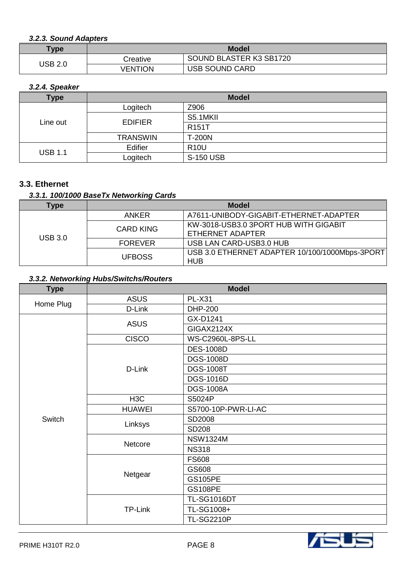#### *3.2.3. Sound Adapters*

| $T$ ype | <b>Model</b> |                         |
|---------|--------------|-------------------------|
| JSB 2.0 | Creative     | SOUND BLASTER K3 SB1720 |
|         | VENTION      | <b>USB SOUND CARD</b>   |

## *3.2.4. Speaker*

| Type           | <b>Model</b>    |                    |
|----------------|-----------------|--------------------|
| Line out       | Logitech        | Z906               |
|                | <b>EDIFIER</b>  | S5.1MKII           |
|                |                 | R <sub>151</sub> T |
|                | <b>TRANSWIN</b> | <b>T-200N</b>      |
| <b>USB 1.1</b> | Edifier         | <b>R10U</b>        |
|                | Logitech        | <b>S-150 USB</b>   |

#### **3.3. Ethernet**

## *3.3.1. 100/1000 BaseTx Networking Cards*

| Type           | <b>Model</b>   |                                                              |
|----------------|----------------|--------------------------------------------------------------|
|                | <b>ANKER</b>   | A7611-UNIBODY-GIGABIT-ETHERNET-ADAPTER                       |
| <b>USB 3.0</b> | CARD KING      | KW-3018-USB3.0 3PORT HUB WITH GIGABIT<br>ETHERNET ADAPTER    |
|                | <b>FOREVER</b> | USB LAN CARD-USB3.0 HUB                                      |
|                | <b>UFBOSS</b>  | USB 3.0 ETHERNET ADAPTER 10/100/1000Mbps-3PORT<br><b>HUB</b> |

### *3.3.2. Networking Hubs/Switchs/Routers*

| <b>Type</b> | <b>Model</b>     |                     |
|-------------|------------------|---------------------|
|             | <b>ASUS</b>      | <b>PL-X31</b>       |
| Home Plug   | D-Link           | <b>DHP-200</b>      |
|             |                  | GX-D1241            |
|             | <b>ASUS</b>      | <b>GIGAX2124X</b>   |
|             | <b>CISCO</b>     | WS-C2960L-8PS-LL    |
|             |                  | <b>DES-1008D</b>    |
|             |                  | <b>DGS-1008D</b>    |
|             | D-Link           | <b>DGS-1008T</b>    |
|             |                  | <b>DGS-1016D</b>    |
|             |                  | <b>DGS-1008A</b>    |
|             | H <sub>3</sub> C | S5024P              |
|             | <b>HUAWEI</b>    | S5700-10P-PWR-LI-AC |
| Switch      | Linksys          | SD2008              |
|             |                  | SD208               |
|             | Netcore          | <b>NSW1324M</b>     |
|             |                  | <b>NS318</b>        |
|             | Netgear          | <b>FS608</b>        |
|             |                  | GS608               |
|             |                  | <b>GS105PE</b>      |
|             |                  | <b>GS108PE</b>      |
|             |                  | <b>TL-SG1016DT</b>  |
|             | TP-Link          | TL-SG1008+          |
|             |                  | <b>TL-SG2210P</b>   |

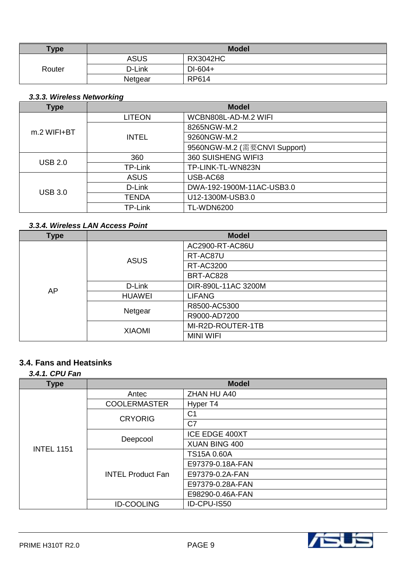| <b>Type</b> | <b>Model</b> |                 |
|-------------|--------------|-----------------|
|             | <b>ASUS</b>  | <b>RX3042HC</b> |
| Router      | D-Link       | DI-604+         |
|             | Netgear      | RP614           |

## *3.3.3. Wireless Networking*

| <b>Type</b>    | <b>Model</b>   |                              |
|----------------|----------------|------------------------------|
|                | <b>LITEON</b>  | WCBN808L-AD-M.2 WIFI         |
| $m.2$ WIFI+BT  | <b>INTEL</b>   | 8265NGW-M.2                  |
|                |                | 9260NGW-M.2                  |
|                |                | 9560NGW-M.2 (需要CNVI Support) |
| <b>USB 2.0</b> | 360            | 360 SUISHENG WIFI3           |
|                | TP-Link        | TP-LINK-TL-WN823N            |
| <b>USB 3.0</b> | <b>ASUS</b>    | USB-AC68                     |
|                | D-Link         | DWA-192-1900M-11AC-USB3.0    |
|                | <b>TENDA</b>   | U12-1300M-USB3.0             |
|                | <b>TP-Link</b> | <b>TL-WDN6200</b>            |

## *3.3.4. Wireless LAN Access Point*

| Type | <b>Model</b>  |                     |
|------|---------------|---------------------|
|      | <b>ASUS</b>   | AC2900-RT-AC86U     |
|      |               | RT-AC87U            |
|      |               | RT-AC3200           |
|      |               | BRT-AC828           |
| AP   | D-Link        | DIR-890L-11AC 3200M |
|      | <b>HUAWEI</b> | <b>LIFANG</b>       |
|      | Netgear       | R8500-AC5300        |
|      |               | R9000-AD7200        |
|      | <b>XIAOMI</b> | MI-R2D-ROUTER-1TB   |
|      |               | <b>MINI WIFI</b>    |

## **3.4. Fans and Heatsinks**

### *3.4.1. CPU Fan*

| <b>Type</b>       | <b>Model</b>             |                  |
|-------------------|--------------------------|------------------|
|                   | Antec                    | ZHAN HU A40      |
|                   | <b>COOLERMASTER</b>      | Hyper T4         |
|                   | <b>CRYORIG</b>           | C <sub>1</sub>   |
|                   |                          | C7               |
|                   | Deepcool                 | ICE EDGE 400XT   |
| <b>INTEL 1151</b> |                          | XUAN BING 400    |
|                   | <b>INTEL Product Fan</b> | TS15A 0.60A      |
|                   |                          | E97379-0.18A-FAN |
|                   |                          | E97379-0.2A-FAN  |
|                   |                          | E97379-0.28A-FAN |
|                   |                          | E98290-0.46A-FAN |
|                   | <b>ID-COOLING</b>        | ID-CPU-IS50      |

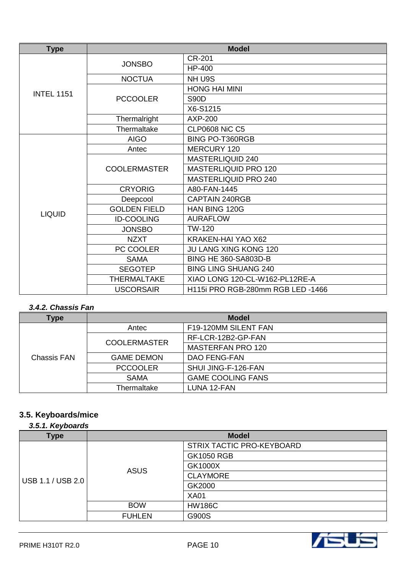| <b>Type</b>       | <b>Model</b>        |                                   |
|-------------------|---------------------|-----------------------------------|
|                   | <b>JONSBO</b>       | <b>CR-201</b>                     |
|                   |                     | <b>HP-400</b>                     |
|                   | <b>NOCTUA</b>       | NH U9S                            |
| <b>INTEL 1151</b> |                     | <b>HONG HAI MINI</b>              |
|                   | <b>PCCOOLER</b>     | <b>S90D</b>                       |
|                   |                     | X6-S1215                          |
|                   | Thermalright        | <b>AXP-200</b>                    |
|                   | Thermaltake         | <b>CLP0608 NiC C5</b>             |
|                   | <b>AIGO</b>         | <b>BING PO-T360RGB</b>            |
|                   | Antec               | <b>MERCURY 120</b>                |
|                   | <b>COOLERMASTER</b> | MASTERLIQUID 240                  |
|                   |                     | MASTERLIQUID PRO 120              |
|                   |                     | MASTERLIQUID PRO 240              |
|                   | <b>CRYORIG</b>      | A80-FAN-1445                      |
|                   | Deepcool            | <b>CAPTAIN 240RGB</b>             |
| <b>LIQUID</b>     | <b>GOLDEN FIELD</b> | HAN BING 120G                     |
|                   | <b>ID-COOLING</b>   | <b>AURAFLOW</b>                   |
|                   | <b>JONSBO</b>       | TW-120                            |
|                   | <b>NZXT</b>         | KRAKEN-HAI YAO X62                |
|                   | PC COOLER           | <b>JU LANG XING KONG 120</b>      |
|                   | <b>SAMA</b>         | <b>BING HE 360-SA803D-B</b>       |
|                   | <b>SEGOTEP</b>      | <b>BING LING SHUANG 240</b>       |
|                   | <b>THERMALTAKE</b>  | XIAO LONG 120-CL-W162-PL12RE-A    |
|                   | <b>USCORSAIR</b>    | H115i PRO RGB-280mm RGB LED -1466 |

### *3.4.2. Chassis Fan*

| Type        | <b>Model</b>        |                          |
|-------------|---------------------|--------------------------|
|             |                     |                          |
|             | Antec               | F19-120MM SILENT FAN     |
|             | <b>COOLERMASTER</b> | RF-LCR-12B2-GP-FAN       |
|             |                     | <b>MASTERFAN PRO 120</b> |
| Chassis FAN | <b>GAME DEMON</b>   | DAO FENG-FAN             |
|             | <b>PCCOOLER</b>     | SHUI JING-F-126-FAN      |
|             | <b>SAMA</b>         | <b>GAME COOLING FANS</b> |
|             | Thermaltake         | LUNA 12-FAN              |

#### **3.5. Keyboards/mice** *3.5.1. Keyboards*

| 3.5.1. Neyboards  |               |                           |  |
|-------------------|---------------|---------------------------|--|
| <b>Type</b>       |               | <b>Model</b>              |  |
|                   | <b>ASUS</b>   | STRIX TACTIC PRO-KEYBOARD |  |
|                   |               | <b>GK1050 RGB</b>         |  |
|                   |               | GK1000X                   |  |
| USB 1.1 / USB 2.0 |               | <b>CLAYMORE</b>           |  |
|                   |               | GK2000                    |  |
|                   |               | <b>XA01</b>               |  |
|                   | <b>BOW</b>    | <b>HW186C</b>             |  |
|                   | <b>FUHLEN</b> | G900S                     |  |

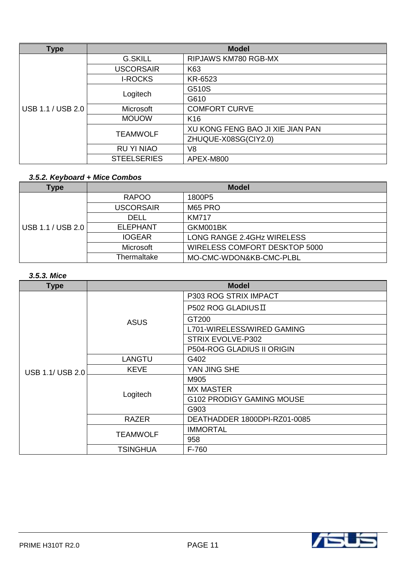| <b>Type</b>       | <b>Model</b>       |                                  |
|-------------------|--------------------|----------------------------------|
|                   | <b>G.SKILL</b>     | RIPJAWS KM780 RGB-MX             |
|                   | <b>USCORSAIR</b>   | K63                              |
|                   | <b>I-ROCKS</b>     | KR-6523                          |
|                   | Logitech           | G510S                            |
|                   |                    | G610                             |
| USB 1.1 / USB 2.0 | Microsoft          | <b>COMFORT CURVE</b>             |
|                   | <b>MOUOW</b>       | K <sub>16</sub>                  |
|                   | <b>TEAMWOLF</b>    | XU KONG FENG BAO JI XIE JIAN PAN |
|                   |                    | ZHUQUE-X08SG(CIY2.0)             |
|                   | <b>RU YI NIAO</b>  | V <sub>8</sub>                   |
|                   | <b>STEELSERIES</b> | APEX-M800                        |

# *3.5.2. Keyboard + Mice Combos*

| Type              | <b>Model</b>     |                               |
|-------------------|------------------|-------------------------------|
|                   | <b>RAPOO</b>     | 1800P5                        |
|                   | <b>USCORSAIR</b> | M65 PRO                       |
| USB 1.1 / USB 2.0 | <b>DELL</b>      | <b>KM717</b>                  |
|                   | <b>ELEPHANT</b>  | GKM001BK                      |
|                   | <b>IOGEAR</b>    | LONG RANGE 2.4GHz WIRELESS    |
|                   | Microsoft        | WIRELESS COMFORT DESKTOP 5000 |
|                   | Thermaltake      | MO-CMC-WDON&KB-CMC-PLBL       |

## *3.5.3. Mice*

| <b>Type</b>      | <b>Model</b>    |                                   |
|------------------|-----------------|-----------------------------------|
|                  |                 | P303 ROG STRIX IMPACT             |
|                  |                 | P502 ROG GLADIUSII                |
|                  | <b>ASUS</b>     | GT200                             |
|                  |                 | L701-WIRELESS/WIRED GAMING        |
|                  |                 | STRIX EVOLVE-P302                 |
|                  |                 | <b>P504-ROG GLADIUS II ORIGIN</b> |
|                  | <b>LANGTU</b>   | G402                              |
| USB 1.1/ USB 2.0 | <b>KEVE</b>     | YAN JING SHE                      |
|                  | Logitech        | M905                              |
|                  |                 | <b>MX MASTER</b>                  |
|                  |                 | G102 PRODIGY GAMING MOUSE         |
|                  |                 | G903                              |
|                  | <b>RAZER</b>    | DEATHADDER 1800DPI-RZ01-0085      |
|                  | <b>TEAMWOLF</b> | <b>IMMORTAL</b>                   |
|                  |                 | 958                               |
|                  | <b>TSINGHUA</b> | F-760                             |

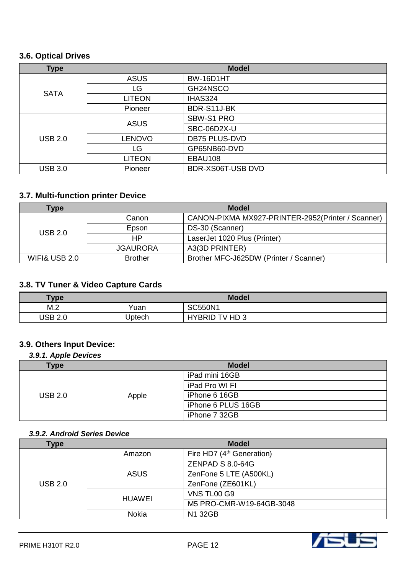### **3.6. Optical Drives**

| <b>Type</b>    | <b>Model</b>  |                      |
|----------------|---------------|----------------------|
|                | <b>ASUS</b>   | BW-16D1HT            |
| <b>SATA</b>    | LG            | GH24NSCO             |
|                | <b>LITEON</b> | IHAS324              |
|                | Pioneer       | BDR-S11J-BK          |
| <b>USB 2.0</b> | <b>ASUS</b>   | SBW-S1 PRO           |
|                |               | SBC-06D2X-U          |
|                | <b>LENOVO</b> | <b>DB75 PLUS-DVD</b> |
|                | LG            | GP65NB60-DVD         |
|                | <b>LITEON</b> | EBAU108              |
| <b>USB 3.0</b> | Pioneer       | BDR-XS06T-USB DVD    |

# **3.7. Multi-function printer Device**

| Type                     | <b>Model</b>    |                                                   |
|--------------------------|-----------------|---------------------------------------------------|
| USB 2.0                  | Canon           | CANON-PIXMA MX927-PRINTER-2952(Printer / Scanner) |
|                          | Epson           | DS-30 (Scanner)                                   |
|                          | HP.             | LaserJet 1020 Plus (Printer)                      |
|                          | <b>JGAURORA</b> | A3(3D PRINTER)                                    |
| <b>WIFI&amp; USB 2.0</b> | <b>Brother</b>  | Brother MFC-J625DW (Printer / Scanner)            |

# **3.8. TV Tuner & Video Capture Cards**

| Type           | <b>Model</b> |                          |
|----------------|--------------|--------------------------|
| M.2            | Yuan         | <b>SC550N1</b>           |
| <b>USB 2.0</b> | Uptech       | <b>HYBRID</b><br>TV HD 3 |

## **3.9. Others Input Device:**

### *3.9.1. Apple Devices*

| <b>Type</b>    | <b>Model</b> |                    |
|----------------|--------------|--------------------|
|                |              | iPad mini 16GB     |
|                |              | iPad Pro WI FI     |
| <b>USB 2.0</b> | Apple        | iPhone 6 16GB      |
|                |              | iPhone 6 PLUS 16GB |
|                |              | iPhone 7 32GB      |

#### *3.9.2. Android Series Device*

| <b>Type</b>    | <b>Model</b>  |                                       |
|----------------|---------------|---------------------------------------|
|                | Amazon        | Fire HD7 (4 <sup>th</sup> Generation) |
|                | <b>ASUS</b>   | <b>ZENPAD S 8.0-64G</b>               |
| <b>USB 2.0</b> |               | ZenFone 5 LTE (A500KL)                |
|                |               | ZenFone (ZE601KL)                     |
|                | <b>HUAWEI</b> | VNS TL00 G9                           |
|                |               | M5 PRO-CMR-W19-64GB-3048              |
|                | Nokia         | N1 32GB                               |

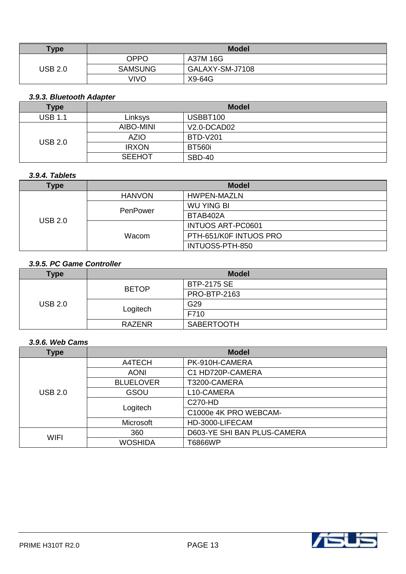| <b>Type</b>    | <b>Model</b>   |                 |
|----------------|----------------|-----------------|
|                | <b>OPPO</b>    | A37M 16G        |
| <b>USB 2.0</b> | <b>SAMSUNG</b> | GALAXY-SM-J7108 |
|                | VIVO           | X9-64G          |

## *3.9.3. Bluetooth Adapter*

| <b>Type</b>    | <b>Model</b>  |                 |
|----------------|---------------|-----------------|
| USB 1.1        | Linksys       | USBBT100        |
| <b>USB 2.0</b> | AIBO-MINI     | $V2.0 - DCAD02$ |
|                | <b>AZIO</b>   | <b>BTD-V201</b> |
|                | <b>IRXON</b>  | <b>BT560i</b>   |
|                | <b>SEEHOT</b> | <b>SBD-40</b>   |

#### *3.9.4. Tablets*

| Type           | <b>Model</b>                              |                          |
|----------------|-------------------------------------------|--------------------------|
| <b>USB 2.0</b> | <b>HANVON</b>                             | HWPEN-MAZLN              |
|                | <b>WU YING BI</b><br>PenPower<br>BTAB402A |                          |
|                |                                           |                          |
|                |                                           | <b>INTUOS ART-PC0601</b> |
|                | Wacom                                     | PTH-651/K0F INTUOS PRO   |
|                |                                           | INTUOS5-PTH-850          |

### *3.9.5. PC Game Controller*

| <b>Type</b>    | <b>Model</b>  |                    |
|----------------|---------------|--------------------|
| <b>USB 2.0</b> | <b>BETOP</b>  | <b>BTP-2175 SE</b> |
|                |               | PRO-BTP-2163       |
|                |               | G29                |
|                | Logitech      | F710               |
|                | <b>RAZENR</b> | <b>SABERTOOTH</b>  |

#### *3.9.6. Web Cams*

| Type           | <b>Model</b>     |                             |
|----------------|------------------|-----------------------------|
|                | A4TECH           | PK-910H-CAMERA              |
|                | <b>AONI</b>      | C1 HD720P-CAMERA            |
| <b>USB 2.0</b> | <b>BLUELOVER</b> | T3200-CAMERA                |
|                | GSOU             | L10-CAMERA                  |
|                |                  | C270-HD                     |
|                | Logitech         | C1000e 4K PRO WEBCAM-       |
|                | Microsoft        | HD-3000-LIFECAM             |
| <b>WIFI</b>    | 360              | D603-YE SHI BAN PLUS-CAMERA |
|                | <b>WOSHIDA</b>   | T6866WP                     |

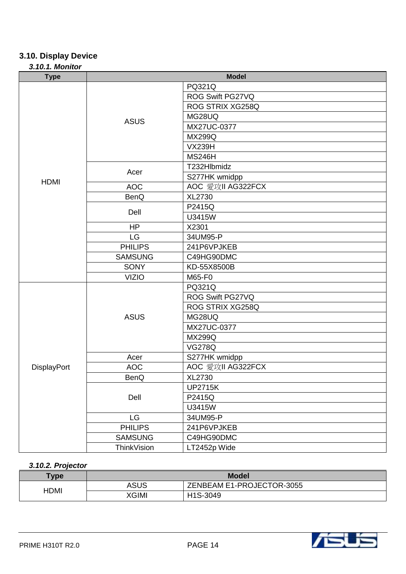# **3.10. Display Device**

### *3.10.1. Monitor*

| <b>Type</b> | <b>Model</b>   |                   |
|-------------|----------------|-------------------|
|             | <b>ASUS</b>    | PQ321Q            |
|             |                | ROG Swift PG27VQ  |
|             |                | ROG STRIX XG258Q  |
|             |                | MG28UQ            |
|             |                | MX27UC-0377       |
|             |                | <b>MX299Q</b>     |
|             |                | <b>VX239H</b>     |
|             |                | <b>MS246H</b>     |
|             |                | T232Hlbmidz       |
|             | Acer           | S277HK wmidpp     |
| <b>HDMI</b> | <b>AOC</b>     | AOC 愛攻II AG322FCX |
|             | <b>BenQ</b>    | XL2730            |
|             |                | P2415Q            |
|             | Dell           | U3415W            |
|             | <b>HP</b>      | X2301             |
|             | LG             | 34UM95-P          |
|             | <b>PHILIPS</b> | 241P6VPJKEB       |
|             | <b>SAMSUNG</b> | C49HG90DMC        |
|             | <b>SONY</b>    | KD-55X8500B       |
|             | <b>VIZIO</b>   | M65-F0            |
|             | <b>ASUS</b>    | PQ321Q            |
|             |                | ROG Swift PG27VQ  |
|             |                | ROG STRIX XG258Q  |
|             |                | MG28UQ            |
|             |                | MX27UC-0377       |
|             |                | <b>MX299Q</b>     |
|             |                | <b>VG278Q</b>     |
|             | Acer           | S277HK wmidpp     |
| DisplayPort | <b>AOC</b>     | AOC 愛攻II AG322FCX |
|             | BenQ           | XL2730            |
|             | Dell           | <b>UP2715K</b>    |
|             |                | P2415Q            |
|             |                | U3415W            |
|             | LG             | 34UM95-P          |
|             | <b>PHILIPS</b> | 241P6VPJKEB       |
|             | <b>SAMSUNG</b> | C49HG90DMC        |
|             | ThinkVision    | LT2452p Wide      |

#### *3.10.2. Projector*

| <b>Type</b> | <b>Model</b> |                           |
|-------------|--------------|---------------------------|
| HDMI        | ASUS         | ZENBEAM E1-PROJECTOR-3055 |
|             | XGIMI        | H1S-3049                  |